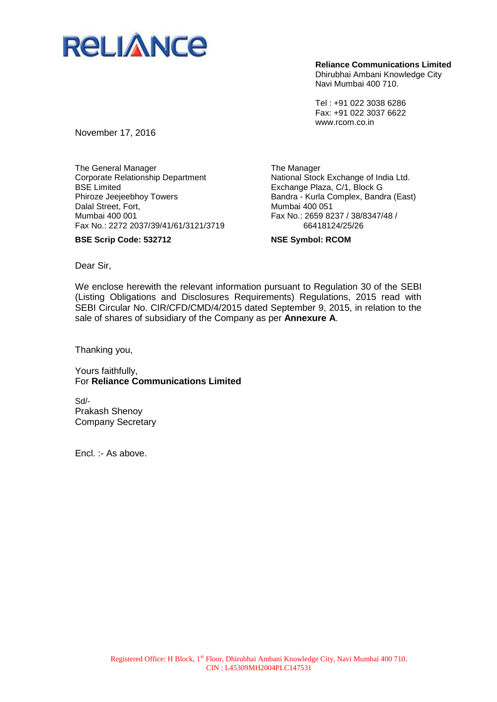

**Reliance Communications Limited**

Dhirubhai Ambani Knowledge City Navi Mumbai 400 710.

Tel : +91 022 3038 6286 Fax: +91 022 3037 6622 www.rcom.co.in

November 17, 2016

The General Manager Corporate Relationship Department BSE Limited Phiroze Jeejeebhoy Towers Dalal Street, Fort, Mumbai 400 001 Fax No.: 2272 2037/39/41/61/3121/3719

**BSE Scrip Code: 532712**

The Manager National Stock Exchange of India Ltd. Exchange Plaza, C/1, Block G Bandra - Kurla Complex, Bandra (East) Mumbai 400 051 Fax No.: 2659 8237 / 38/8347/48 / 66418124/25/26

**NSE Symbol: RCOM**

Dear Sir,

We enclose herewith the relevant information pursuant to Regulation 30 of the SEBI (Listing Obligations and Disclosures Requirements) Regulations, 2015 read with SEBI Circular No. CIR/CFD/CMD/4/2015 dated September 9, 2015, in relation to the sale of shares of subsidiary of the Company as per **Annexure A**.

Thanking you,

Yours faithfully, For **Reliance Communications Limited**

Sd/- Prakash Shenoy Company Secretary

Encl. :- As above.